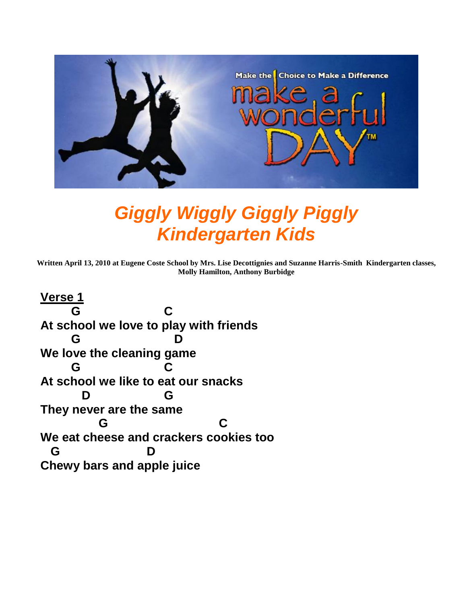

# *Giggly Wiggly Giggly Piggly Kindergarten Kids*

**Written April 13, 2010 at Eugene Coste School by Mrs. Lise Decottignies and Suzanne Harris-Smith Kindergarten classes, Molly Hamilton, Anthony Burbidge**

**Verse 1 G C At school we love to play with friends G D We love the cleaning game G C At school we like to eat our snacks D G They never are the same G C We eat cheese and crackers cookies too G D Chewy bars and apple juice**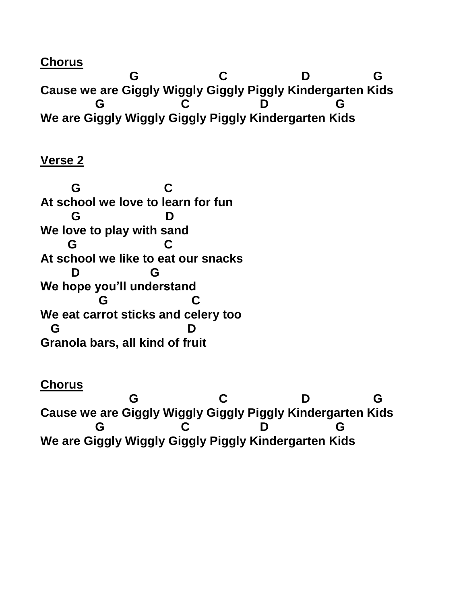**Chorus**

 **G C D G Cause we are Giggly Wiggly Giggly Piggly Kindergarten Kids G C D G We are Giggly Wiggly Giggly Piggly Kindergarten Kids** 

### **Verse 2**

 **G C At school we love to learn for fun G D We love to play with sand G C At school we like to eat our snacks D G We hope you'll understand G C We eat carrot sticks and celery too G D Granola bars, all kind of fruit**

#### **Chorus**

 **G C D G Cause we are Giggly Wiggly Giggly Piggly Kindergarten Kids G C D G We are Giggly Wiggly Giggly Piggly Kindergarten Kids**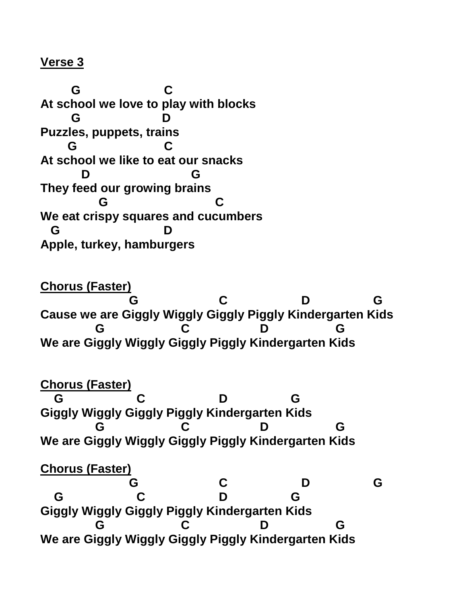#### **Verse 3**

 **G C At school we love to play with blocks G D Puzzles, puppets, trains G C At school we like to eat our snacks D G They feed our growing brains G C We eat crispy squares and cucumbers G D Apple, turkey, hamburgers**

**Chorus (Faster) G C D G Cause we are Giggly Wiggly Giggly Piggly Kindergarten Kids G C D G We are Giggly Wiggly Giggly Piggly Kindergarten Kids** 

#### **Chorus (Faster)**

 **G C D G Giggly Wiggly Giggly Piggly Kindergarten Kids G C D G We are Giggly Wiggly Giggly Piggly Kindergarten Kids** 

## **Chorus (Faster)**

 **G C D G G C D G Giggly Wiggly Giggly Piggly Kindergarten Kids G C D G We are Giggly Wiggly Giggly Piggly Kindergarten Kids**